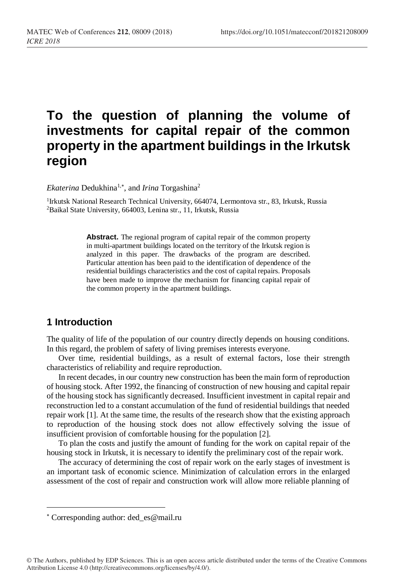# **To the question of planning the volume of investments for capital repair of the common property in the apartment buildings in the Irkutsk region**

Ekaterina Dedukhina<sup>1,\*</sup>, and *Irina* Torgashina<sup>2</sup>

<sup>1</sup>Irkutsk National Research Technical University, 664074, Lermontova str., 83, Irkutsk, Russia <sup>2</sup>Baikal State University, 664003, Lenina str., 11, Irkutsk, Russia

> **Abstract.** The regional program of capital repair of the common property in multi-apartment buildings located on the territory of the Irkutsk region is analyzed in this paper. The drawbacks of the program are described. Particular attention has been paid to the identification of dependence of the residential buildings characteristics and the cost of capital repairs. Proposals have been made to improve the mechanism for financing capital repair of the common property in the apartment buildings.

# **1 Introduction**

The quality of life of the population of our country directly depends on housing conditions. In this regard, the problem of safety of living premises interests everyone.

Over time, residential buildings, as a result of external factors, lose their strength characteristics of reliability and require reproduction.

In recent decades, in our country new construction has been the main form of reproduction of housing stock. After 1992, the financing of construction of new housing and capital repair of the housing stock has significantly decreased. Insufficient investment in capital repair and reconstruction led to a constant accumulation of the fund of residential buildings that needed repair work [1]. At the same time, the results of the research show that the existing approach to reproduction of the housing stock does not allow effectively solving the issue of insufficient provision of comfortable housing for the population [2].

To plan the costs and justify the amount of funding for the work on capital repair of the housing stock in Irkutsk, it is necessary to identify the preliminary cost of the repair work.

The accuracy of determining the cost of repair work on the early stages of investment is an important task of economic science. Minimization of calculation errors in the enlarged assessment of the cost of repair and construction work will allow more reliable planning of

l

Corresponding author: ded\_es@mail.ru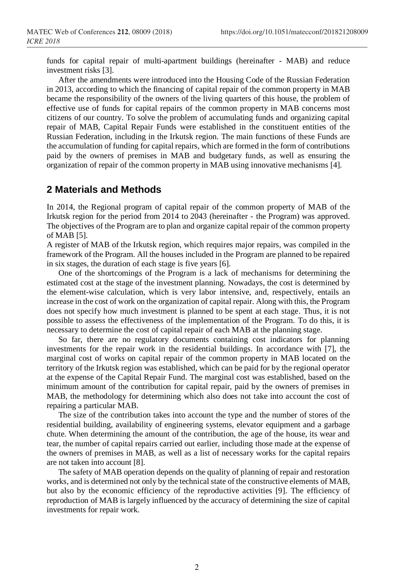funds for capital repair of multi-apartment buildings (hereinafter - MAB) and reduce investment risks [3].

After the amendments were introduced into the Housing Code of the Russian Federation in 2013, according to which the financing of capital repair of the common property in MAB became the responsibility of the owners of the living quarters of this house, the problem of effective use of funds for capital repairs of the common property in MAB concerns most citizens of our country. To solve the problem of accumulating funds and organizing capital repair of MAB, Capital Repair Funds were established in the constituent entities of the Russian Federation, including in the Irkutsk region. The main functions of these Funds are the accumulation of funding for capital repairs, which are formed in the form of contributions paid by the owners of premises in MAB and budgetary funds, as well as ensuring the organization of repair of the common property in MAB using innovative mechanisms [4].

## **2 Materials and Methods**

In 2014, the Regional program of capital repair of the common property of MAB of the Irkutsk region for the period from 2014 to 2043 (hereinafter - the Program) was approved. The objectives of the Program are to plan and organize capital repair of the common property of MAB [5].

A register of MAB of the Irkutsk region, which requires major repairs, was compiled in the framework of the Program. All the houses included in the Program are planned to be repaired in six stages, the duration of each stage is five years [6].

One of the shortcomings of the Program is a lack of mechanisms for determining the estimated cost at the stage of the investment planning. Nowadays, the cost is determined by the element-wise calculation, which is very labor intensive, and, respectively, entails an increase in the cost of work on the organization of capital repair. Along with this, the Program does not specify how much investment is planned to be spent at each stage. Thus, it is not possible to assess the effectiveness of the implementation of the Program. To do this, it is necessary to determine the cost of capital repair of each MAB at the planning stage.

So far, there are no regulatory documents containing cost indicators for planning investments for the repair work in the residential buildings. In accordance with [7], the marginal cost of works on capital repair of the common property in MAB located on the territory of the Irkutsk region was established, which can be paid for by the regional operator at the expense of the Capital Repair Fund. The marginal cost was established, based on the minimum amount of the contribution for capital repair, paid by the owners of premises in MAB, the methodology for determining which also does not take into account the cost of repairing a particular MAB.

The size of the contribution takes into account the type and the number of stores of the residential building, availability of engineering systems, elevator equipment and a garbage chute. When determining the amount of the contribution, the age of the house, its wear and tear, the number of capital repairs carried out earlier, including those made at the expense of the owners of premises in MAB, as well as a list of necessary works for the capital repairs are not taken into account [8].

The safety of MAB operation depends on the quality of planning of repair and restoration works, and is determined not only by the technical state of the constructive elements of MAB, but also by the economic efficiency of the reproductive activities [9]. The efficiency of reproduction of MAB is largely influenced by the accuracy of determining the size of capital investments for repair work.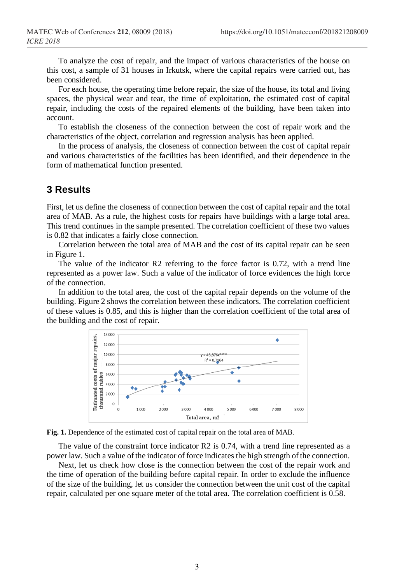To analyze the cost of repair, and the impact of various characteristics of the house on this cost, a sample of 31 houses in Irkutsk, where the capital repairs were carried out, has been considered.

For each house, the operating time before repair, the size of the house, its total and living spaces, the physical wear and tear, the time of exploitation, the estimated cost of capital repair, including the costs of the repaired elements of the building, have been taken into account.

To establish the closeness of the connection between the cost of repair work and the characteristics of the object, correlation and regression analysis has been applied.

In the process of analysis, the closeness of connection between the cost of capital repair and various characteristics of the facilities has been identified, and their dependence in the form of mathematical function presented.

#### **3 Results**

First, let us define the closeness of connection between the cost of capital repair and the total area of MAB. As a rule, the highest costs for repairs have buildings with a large total area. This trend continues in the sample presented. The correlation coefficient of these two values is 0.82 that indicates a fairly close connection.

Correlation between the total area of MAB and the cost of its capital repair can be seen in Figure 1.

The value of the indicator R2 referring to the force factor is 0.72, with a trend line represented as a power law. Such a value of the indicator of force evidences the high force of the connection.

In addition to the total area, the cost of the capital repair depends on the volume of the building. Figure 2 shows the correlation between these indicators. The correlation coefficient of these values is 0.85, and this is higher than the correlation coefficient of the total area of the building and the cost of repair.





The value of the constraint force indicator R2 is 0.74, with a trend line represented as a power law. Such a value of the indicator of force indicates the high strength of the connection.

Next, let us check how close is the connection between the cost of the repair work and the time of operation of the building before capital repair. In order to exclude the influence of the size of the building, let us consider the connection between the unit cost of the capital repair, calculated per one square meter of the total area. The correlation coefficient is 0.58.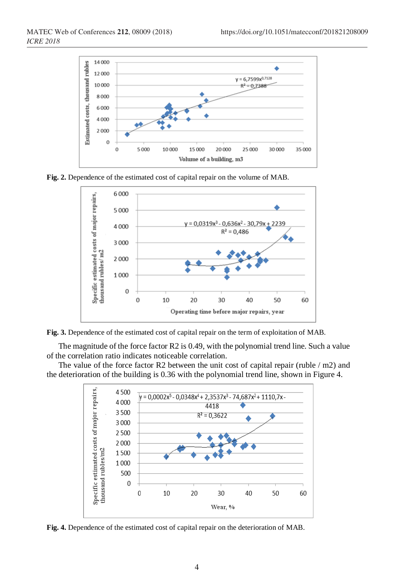

**Fig. 2.** Dependence of the estimated cost of capital repair on the volume of MAB.



**Fig. 3.** Dependence of the estimated cost of capital repair on the term of exploitation of MAB.

The magnitude of the force factor R2 is 0.49, with the polynomial trend line. Such a value of the correlation ratio indicates noticeable correlation.

The value of the force factor R2 between the unit cost of capital repair (ruble / m2) and the deterioration of the building is 0.36 with the polynomial trend line, shown in Figure 4.



**Fig. 4.** Dependence of the estimated cost of capital repair on the deterioration of MAB.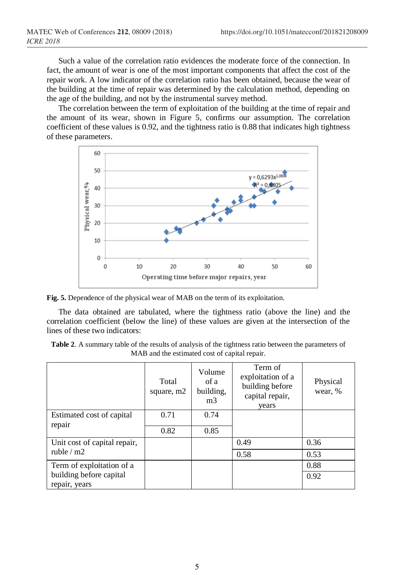Such a value of the correlation ratio evidences the moderate force of the connection. In fact, the amount of wear is one of the most important components that affect the cost of the repair work. A low indicator of the correlation ratio has been obtained, because the wear of the building at the time of repair was determined by the calculation method, depending on the age of the building, and not by the instrumental survey method.

The correlation between the term of exploitation of the building at the time of repair and the amount of its wear, shown in Figure 5, confirms our assumption. The correlation coefficient of these values is 0.92, and the tightness ratio is 0.88 that indicates high tightness of these parameters.



**Fig. 5.** Dependence of the physical wear of MAB on the term of its exploitation.

The data obtained are tabulated, where the tightness ratio (above the line) and the correlation coefficient (below the line) of these values are given at the intersection of the lines of these two indicators:

| <b>Table 2.</b> A summary table of the results of analysis of the tightness ratio between the parameters of |
|-------------------------------------------------------------------------------------------------------------|
| MAB and the estimated cost of capital repair.                                                               |

|                                             | Total<br>square, m2 | Volume<br>of a<br>building,<br>m <sub>3</sub> | Term of<br>exploitation of a<br>building before<br>capital repair,<br>years | Physical<br>wear, % |
|---------------------------------------------|---------------------|-----------------------------------------------|-----------------------------------------------------------------------------|---------------------|
| Estimated cost of capital<br>repair         | 0.71                | 0.74                                          |                                                                             |                     |
|                                             | 0.82                | 0.85                                          |                                                                             |                     |
| Unit cost of capital repair,<br>ruble $/m2$ |                     |                                               | 0.49                                                                        | 0.36                |
|                                             |                     |                                               | 0.58                                                                        | 0.53                |
| Term of exploitation of a                   |                     |                                               |                                                                             | 0.88                |
| building before capital<br>repair, years    |                     |                                               |                                                                             | 0.92                |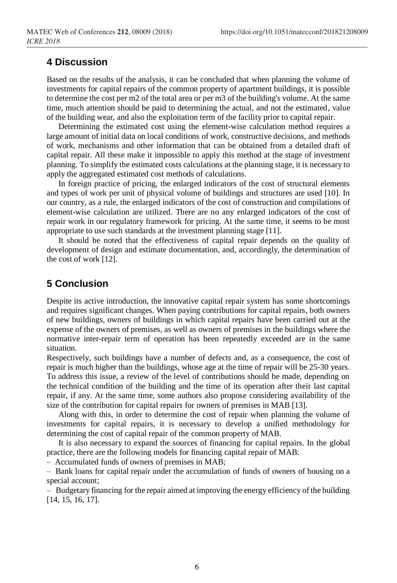## **4 Discussion**

Based on the results of the analysis, it can be concluded that when planning the volume of investments for capital repairs of the common property of apartment buildings, it is possible to determine the cost per m2 of the total area or per m3 of the building's volume. At the same time, much attention should be paid to determining the actual, and not the estimated, value of the building wear, and also the exploitation term of the facility prior to capital repair.

Determining the estimated cost using the element-wise calculation method requires a large amount of initial data on local conditions of work, constructive decisions, and methods of work, mechanisms and other information that can be obtained from a detailed draft of capital repair. All these make it impossible to apply this method at the stage of investment planning. To simplify the estimated costs calculations at the planning stage, it is necessary to apply the aggregated estimated cost methods of calculations.

In foreign practice of pricing, the enlarged indicators of the cost of structural elements and types of work per unit of physical volume of buildings and structures are used [10]. In our country, as a rule, the enlarged indicators of the cost of construction and compilations of element-wise calculation are utilized. There are no any enlarged indicators of the cost of repair work in our regulatory framework for pricing. At the same time, it seems to be most appropriate to use such standards at the investment planning stage [11].

It should be noted that the effectiveness of capital repair depends on the quality of development of design and estimate documentation, and, accordingly, the determination of the cost of work [12].

## **5 Conclusion**

Despite its active introduction, the innovative capital repair system has some shortcomings and requires significant changes. When paying contributions for capital repairs, both owners of new buildings, owners of buildings in which capital repairs have been carried out at the expense of the owners of premises, as well as owners of premises in the buildings where the normative inter-repair term of operation has been repeatedly exceeded are in the same situation.

Respectively, such buildings have a number of defects and, as a consequence, the cost of repair is much higher than the buildings, whose age at the time of repair will be 25-30 years. To address this issue, a review of the level of contributions should be made, depending on the technical condition of the building and the time of its operation after their last capital repair, if any. At the same time, some authors also propose considering availability of the size of the contribution for capital repairs for owners of premises in MAB [13].

Along with this, in order to determine the cost of repair when planning the volume of investments for capital repairs, it is necessary to develop a unified methodology for determining the cost of capital repair of the common property of MAB.

It is also necessary to expand the sources of financing for capital repairs. In the global practice, there are the following models for financing capital repair of MAB:

– Accumulated funds of owners of premises in MAB;

– Bank loans for capital repair under the accumulation of funds of owners of housing on a special account;

– Budgetary financing for the repair aimed at improving the energy efficiency of the building [14, 15, 16, 17].